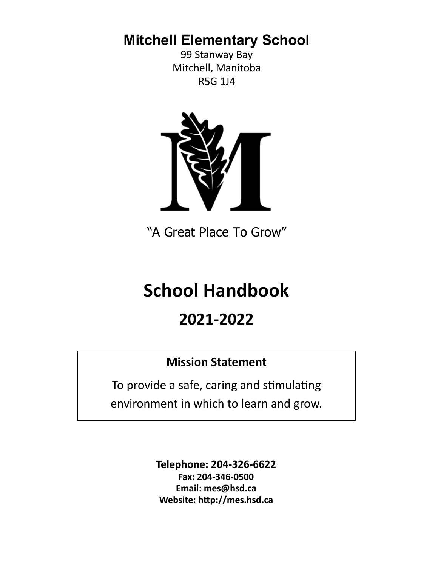**Mitchell Elementary School**

99 Stanway Bay Mitchell, Manitoba R5G 1J4



"A Great Place To Grow"

# **School Handbook**

# **2021-2022**

# **Mission Statement**

To provide a safe, caring and stimulating environment in which to learn and grow.

> **Telephone: 204-326-6622 Fax: 204-346-0500 Email: mes@hsd.ca Website: http://mes.hsd.ca**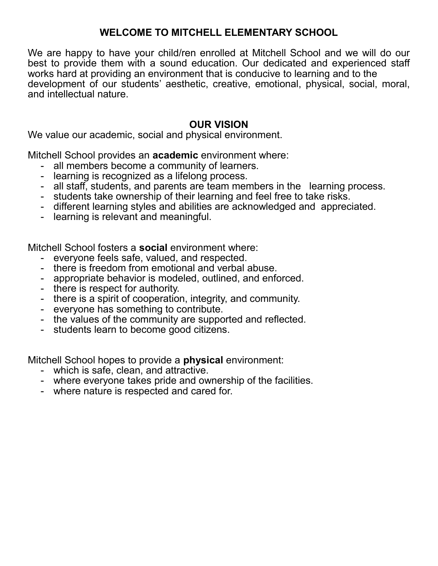# **WELCOME TO MITCHELL ELEMENTARY SCHOOL**

We are happy to have your child/ren enrolled at Mitchell School and we will do our best to provide them with a sound education. Our dedicated and experienced staff works hard at providing an environment that is conducive to learning and to the development of our students' aesthetic, creative, emotional, physical, social, moral, and intellectual nature.

### **OUR VISION**

We value our academic, social and physical environment.

Mitchell School provides an **academic** environment where:

- all members become a community of learners.
- learning is recognized as a lifelong process.
- all staff, students, and parents are team members in the learning process.
- students take ownership of their learning and feel free to take risks.
- different learning styles and abilities are acknowledged and appreciated.
- learning is relevant and meaningful.

Mitchell School fosters a **social** environment where:

- everyone feels safe, valued, and respected.
- there is freedom from emotional and verbal abuse.
- appropriate behavior is modeled, outlined, and enforced.
- there is respect for authority.
- there is a spirit of cooperation, integrity, and community.
- everyone has something to contribute.
- the values of the community are supported and reflected.
- students learn to become good citizens.

Mitchell School hopes to provide a **physical** environment:

- which is safe, clean, and attractive.
- where everyone takes pride and ownership of the facilities.
- where nature is respected and cared for.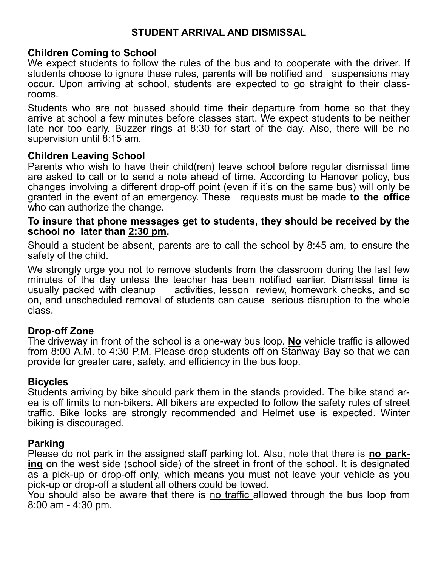# **STUDENT ARRIVAL AND DISMISSAL**

### **Children Coming to School**

We expect students to follow the rules of the bus and to cooperate with the driver. If students choose to ignore these rules, parents will be notified and suspensions may occur. Upon arriving at school, students are expected to go straight to their classrooms.

Students who are not bussed should time their departure from home so that they arrive at school a few minutes before classes start. We expect students to be neither late nor too early. Buzzer rings at 8:30 for start of the day. Also, there will be no supervision until 8:15 am.

### **Children Leaving School**

Parents who wish to have their child(ren) leave school before regular dismissal time are asked to call or to send a note ahead of time. According to Hanover policy, bus changes involving a different drop-off point (even if it's on the same bus) will only be granted in the event of an emergency. These requests must be made **to the office** who can authorize the change.

### **To insure that phone messages get to students, they should be received by the school no later than 2:30 pm.**

Should a student be absent, parents are to call the school by 8:45 am, to ensure the safety of the child.

We strongly urge you not to remove students from the classroom during the last few minutes of the day unless the teacher has been notified earlier. Dismissal time is usually packed with cleanup activities, lesson review, homework checks, and so on, and unscheduled removal of students can cause serious disruption to the whole class.

### **Drop-off Zone**

The driveway in front of the school is a one-way bus loop. **No** vehicle traffic is allowed from 8:00 A.M. to 4:30 P.M. Please drop students off on Stanway Bay so that we can provide for greater care, safety, and efficiency in the bus loop.

### **Bicycles**

Students arriving by bike should park them in the stands provided. The bike stand area is off limits to non-bikers. All bikers are expected to follow the safety rules of street traffic. Bike locks are strongly recommended and Helmet use is expected. Winter biking is discouraged.

### **Parking**

Please do not park in the assigned staff parking lot. Also, note that there is **no parking** on the west side (school side) of the street in front of the school. It is designated as a pick-up or drop-off only, which means you must not leave your vehicle as you pick-up or drop-off a student all others could be towed.

You should also be aware that there is no traffic allowed through the bus loop from 8:00 am - 4:30 pm.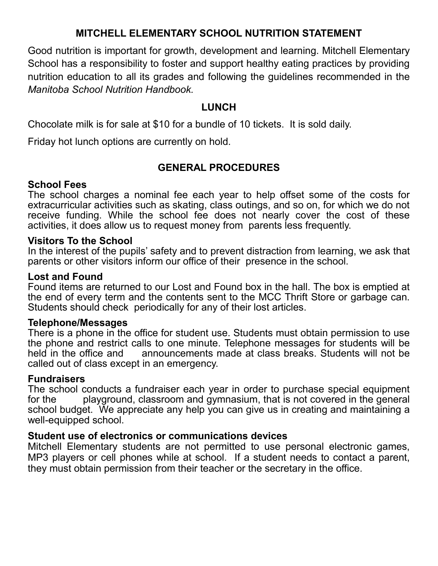# **MITCHELL ELEMENTARY SCHOOL NUTRITION STATEMENT**

Good nutrition is important for growth, development and learning. Mitchell Elementary School has a responsibility to foster and support healthy eating practices by providing nutrition education to all its grades and following the guidelines recommended in the *Manitoba School Nutrition Handbook.*

### **LUNCH**

Chocolate milk is for sale at \$10 for a bundle of 10 tickets. It is sold daily.

Friday hot lunch options are currently on hold.

### **GENERAL PROCEDURES**

### **School Fees**

The school charges a nominal fee each year to help offset some of the costs for extracurricular activities such as skating, class outings, and so on, for which we do not receive funding. While the school fee does not nearly cover the cost of these activities, it does allow us to request money from parents less frequently.

### **Visitors To the School**

In the interest of the pupils' safety and to prevent distraction from learning, we ask that parents or other visitors inform our office of their presence in the school.

### **Lost and Found**

Found items are returned to our Lost and Found box in the hall. The box is emptied at the end of every term and the contents sent to the MCC Thrift Store or garbage can. Students should check periodically for any of their lost articles.

### **Telephone/Messages**

There is a phone in the office for student use. Students must obtain permission to use the phone and restrict calls to one minute. Telephone messages for students will be held in the office and announcements made at class breaks. Students will not be called out of class except in an emergency.

### **Fundraisers**

The school conducts a fundraiser each year in order to purchase special equipment for the playground, classroom and gymnasium, that is not covered in the general school budget. We appreciate any help you can give us in creating and maintaining a well-equipped school.

### **Student use of electronics or communications devices**

Mitchell Elementary students are not permitted to use personal electronic games, MP3 players or cell phones while at school. If a student needs to contact a parent, they must obtain permission from their teacher or the secretary in the office.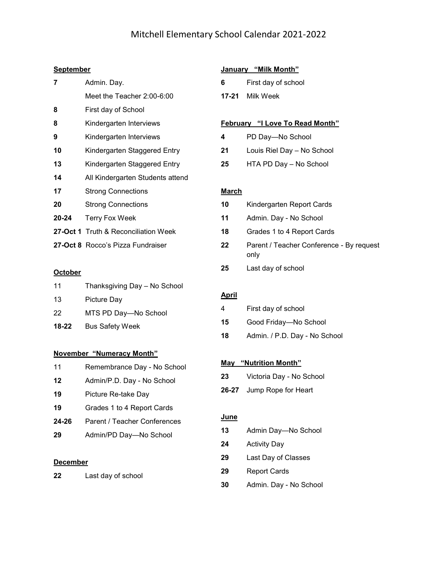### Mitchell Elementary School Calendar 2021-2022

### **September**

| 7         | Admin. Day.                                 |
|-----------|---------------------------------------------|
|           | Meet the Teacher 2:00-6:00                  |
| 8         | First day of School                         |
| 8         | Kindergarten Interviews                     |
| 9         | Kindergarten Interviews                     |
| 10        | Kindergarten Staggered Entry                |
| 13        | Kindergarten Staggered Entry                |
| 14        | All Kindergarten Students attend            |
| 17        | <b>Strong Connections</b>                   |
| 20        | <b>Strong Connections</b>                   |
| $20 - 24$ | <b>Terry Fox Week</b>                       |
|           | <b>27-Oct 1</b> Truth & Reconciliation Week |
|           | 27-Oct 8 Rocco's Pizza Fundraiser           |

### **October**

| 11    | Thanksgiving Day - No School |
|-------|------------------------------|
| 13    | Picture Day                  |
| 22    | MTS PD Day-No School         |
| 18-22 | <b>Bus Safety Week</b>       |
|       |                              |

### **November "Numeracy Month"**

- 11 Remembrance Day No School
- Admin/P.D. Day No School
- Picture Re-take Day
- Grades 1 to 4 Report Cards
- **-26** Parent / Teacher Conferences
- Admin/PD Day—No School

### **December**

| 22 | Last day of school |
|----|--------------------|
|----|--------------------|

### **January "Milk Month"**

- First day of school
- **-21** Milk Week

### **February "I Love To Read Month"**

- PD Day—No School
- Louis Riel Day No School
- HTA PD Day No School

### **March**

- Kindergarten Report Cards
- Admin. Day No School
- Grades 1 to 4 Report Cards
- Parent / Teacher Conference By request only
- Last day of school

### **April**

| 4  | First day of school           |
|----|-------------------------------|
| 15 | Good Friday-No School         |
| 18 | Admin. / P.D. Day - No School |

### **May "Nutrition Month"**

- Victoria Day No School
- **-27** Jump Rope for Heart

### **June**

- Admin Day—No School
- Activity Day
- Last Day of Classes
- Report Cards
- Admin. Day No School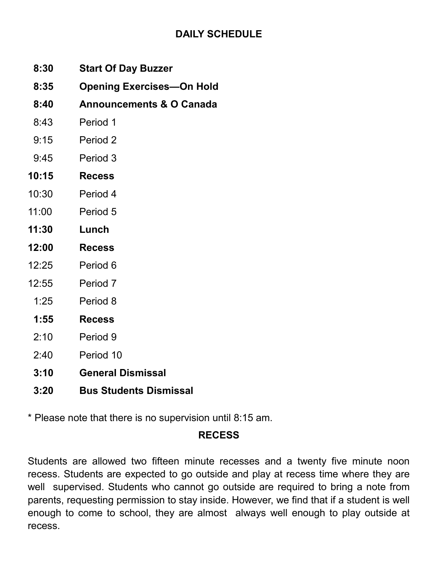# **DAILY SCHEDULE**

- **8:30 Start Of Day Buzzer**
- **8:35 Opening Exercises—On Hold**
- **8:40 Announcements & O Canada**
- 8:43 Period 1
- 9:15 Period 2
- 9:45 Period 3
- **10:15 Recess**
- 10:30 Period 4
- 11:00 Period 5
- **11:30 Lunch**
- **12:00 Recess**
- 12:25 Period 6
- 12:55 Period 7
- 1:25 Period 8
- **1:55 Recess**
- 2:10 Period 9
- 2:40 Period 10
- **3:10 General Dismissal**
- **3:20 Bus Students Dismissal**

\* Please note that there is no supervision until 8:15 am.

# **RECESS**

Students are allowed two fifteen minute recesses and a twenty five minute noon recess. Students are expected to go outside and play at recess time where they are well supervised. Students who cannot go outside are required to bring a note from parents, requesting permission to stay inside. However, we find that if a student is well enough to come to school, they are almost always well enough to play outside at recess.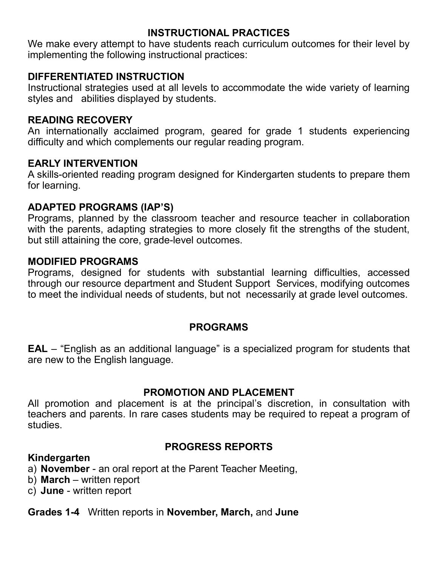### **INSTRUCTIONAL PRACTICES**

We make every attempt to have students reach curriculum outcomes for their level by implementing the following instructional practices:

# **DIFFERENTIATED INSTRUCTION**

Instructional strategies used at all levels to accommodate the wide variety of learning styles and abilities displayed by students.

### **READING RECOVERY**

An internationally acclaimed program, geared for grade 1 students experiencing difficulty and which complements our regular reading program.

### **EARLY INTERVENTION**

A skills-oriented reading program designed for Kindergarten students to prepare them for learning.

# **ADAPTED PROGRAMS (IAP'S)**

Programs, planned by the classroom teacher and resource teacher in collaboration with the parents, adapting strategies to more closely fit the strengths of the student, but still attaining the core, grade-level outcomes.

### **MODIFIED PROGRAMS**

Programs, designed for students with substantial learning difficulties, accessed through our resource department and Student Support Services, modifying outcomes to meet the individual needs of students, but not necessarily at grade level outcomes.

# **PROGRAMS**

**EAL** – "English as an additional language" is a specialized program for students that are new to the English language.

# **PROMOTION AND PLACEMENT**

All promotion and placement is at the principal's discretion, in consultation with teachers and parents. In rare cases students may be required to repeat a program of studies.

# **PROGRESS REPORTS**

### **Kindergarten**

- a) **November** an oral report at the Parent Teacher Meeting,
- b) **March** written report
- c) **June** written report

### **Grades 1-4** Written reports in **November, March,** and **June**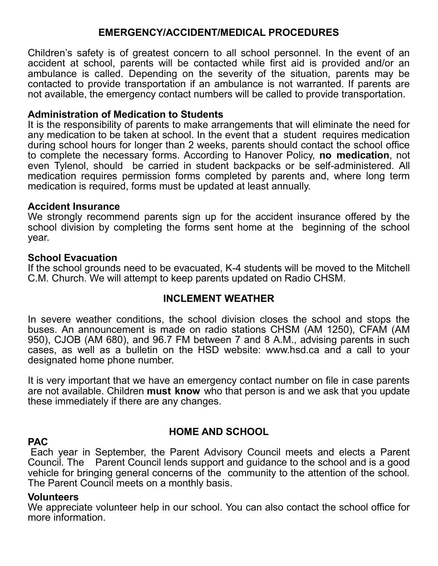### **EMERGENCY/ACCIDENT/MEDICAL PROCEDURES**

Children's safety is of greatest concern to all school personnel. In the event of an accident at school, parents will be contacted while first aid is provided and/or an ambulance is called. Depending on the severity of the situation, parents may be contacted to provide transportation if an ambulance is not warranted. If parents are not available, the emergency contact numbers will be called to provide transportation.

### **Administration of Medication to Students**

It is the responsibility of parents to make arrangements that will eliminate the need for any medication to be taken at school. In the event that a student requires medication during school hours for longer than 2 weeks, parents should contact the school office to complete the necessary forms. According to Hanover Policy, **no medication**, not even Tylenol, should be carried in student backpacks or be self-administered. All medication requires permission forms completed by parents and, where long term medication is required, forms must be updated at least annually.

### **Accident Insurance**

We strongly recommend parents sign up for the accident insurance offered by the school division by completing the forms sent home at the beginning of the school year.

### **School Evacuation**

If the school grounds need to be evacuated, K-4 students will be moved to the Mitchell C.M. Church. We will attempt to keep parents updated on Radio CHSM.

### **INCLEMENT WEATHER**

In severe weather conditions, the school division closes the school and stops the buses. An announcement is made on radio stations CHSM (AM 1250), CFAM (AM 950), CJOB (AM 680), and 96.7 FM between 7 and 8 A.M., advising parents in such cases, as well as a bulletin on the HSD website: www.hsd.ca and a call to your designated home phone number.

It is very important that we have an emergency contact number on file in case parents are not available. Children **must know** who that person is and we ask that you update these immediately if there are any changes.

### **PAC**

### **HOME AND SCHOOL**

Each year in September, the Parent Advisory Council meets and elects a Parent Council. The Parent Council lends support and guidance to the school and is a good vehicle for bringing general concerns of the community to the attention of the school. The Parent Council meets on a monthly basis.

### **Volunteers**

We appreciate volunteer help in our school. You can also contact the school office for more information.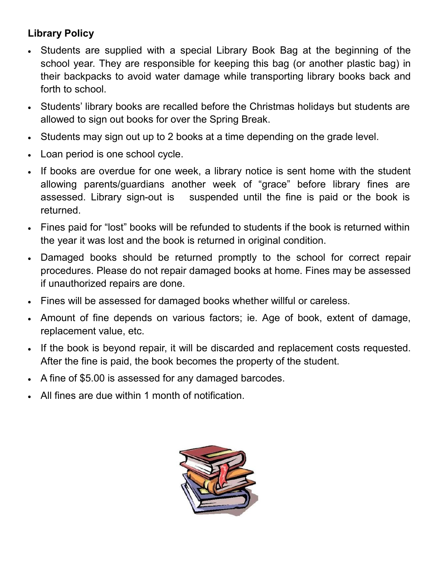# **Library Policy**

- Students are supplied with a special Library Book Bag at the beginning of the school year. They are responsible for keeping this bag (or another plastic bag) in their backpacks to avoid water damage while transporting library books back and forth to school.
- Students' library books are recalled before the Christmas holidays but students are allowed to sign out books for over the Spring Break.
- Students may sign out up to 2 books at a time depending on the grade level.
- Loan period is one school cycle.
- If books are overdue for one week, a library notice is sent home with the student allowing parents/guardians another week of "grace" before library fines are assessed. Library sign-out is suspended until the fine is paid or the book is returned.
- Fines paid for "lost" books will be refunded to students if the book is returned within the year it was lost and the book is returned in original condition.
- Damaged books should be returned promptly to the school for correct repair procedures. Please do not repair damaged books at home. Fines may be assessed if unauthorized repairs are done.
- Fines will be assessed for damaged books whether willful or careless.
- Amount of fine depends on various factors; ie. Age of book, extent of damage, replacement value, etc.
- If the book is beyond repair, it will be discarded and replacement costs requested. After the fine is paid, the book becomes the property of the student.
- A fine of \$5.00 is assessed for any damaged barcodes.
- All fines are due within 1 month of notification.

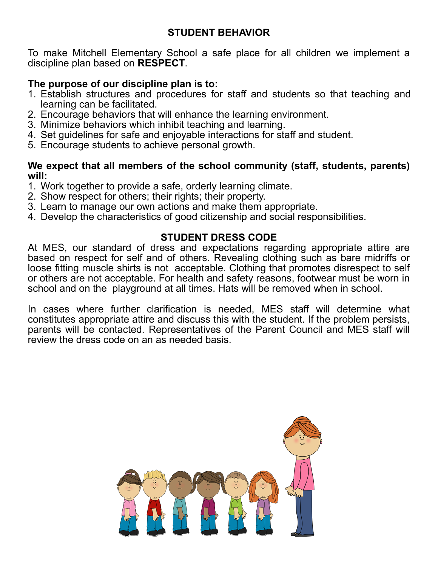# **STUDENT BEHAVIOR**

To make Mitchell Elementary School a safe place for all children we implement a discipline plan based on **RESPECT**.

### **The purpose of our discipline plan is to:**

- 1. Establish structures and procedures for staff and students so that teaching and learning can be facilitated.
- 2. Encourage behaviors that will enhance the learning environment.
- 3. Minimize behaviors which inhibit teaching and learning.
- 4. Set guidelines for safe and enjoyable interactions for staff and student.
- 5. Encourage students to achieve personal growth.

### **We expect that all members of the school community (staff, students, parents) will:**

- 1. Work together to provide a safe, orderly learning climate.
- 2. Show respect for others; their rights; their property.
- 3. Learn to manage our own actions and make them appropriate.
- 4. Develop the characteristics of good citizenship and social responsibilities.

# **STUDENT DRESS CODE**

At MES, our standard of dress and expectations regarding appropriate attire are based on respect for self and of others. Revealing clothing such as bare midriffs or loose fitting muscle shirts is not acceptable. Clothing that promotes disrespect to self or others are not acceptable. For health and safety reasons, footwear must be worn in school and on the playground at all times. Hats will be removed when in school.

In cases where further clarification is needed, MES staff will determine what constitutes appropriate attire and discuss this with the student. If the problem persists, parents will be contacted. Representatives of the Parent Council and MES staff will review the dress code on an as needed basis.